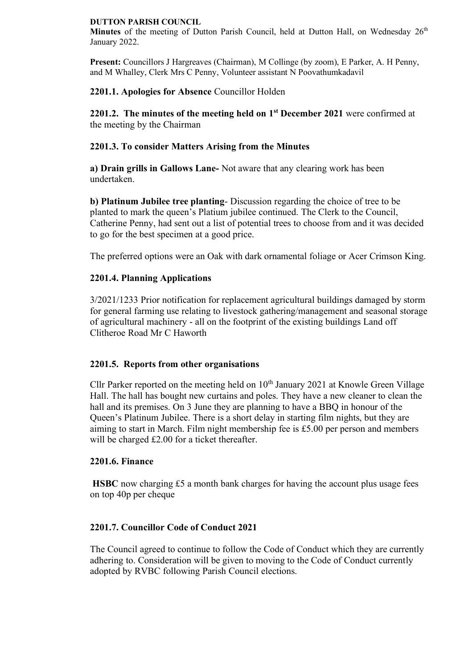#### **DUTTON PARISH COUNCIL**

**Minutes** of the meeting of Dutton Parish Council, held at Dutton Hall, on Wednesday 26<sup>th</sup> January 2022.

**Present:** Councillors J Hargreaves (Chairman), M Collinge (by zoom), E Parker, A. H Penny, and M Whalley, Clerk Mrs C Penny, Volunteer assistant N Poovathumkadavil

# **2201.1. Apologies for Absence** Councillor Holden

**2201.2. The minutes of the meeting held on 1 st December 2021** were confirmed at the meeting by the Chairman

# **2201.3. To consider Matters Arising from the Minutes**

**a) Drain grills in Gallows Lane-** Not aware that any clearing work has been undertaken.

**b) Platinum Jubilee tree planting**- Discussion regarding the choice of tree to be planted to mark the queen's Platium jubilee continued. The Clerk to the Council, Catherine Penny, had sent out a list of potential trees to choose from and it was decided to go for the best specimen at a good price.

The preferred options were an Oak with dark ornamental foliage or Acer Crimson King.

## **2201.4. Planning Applications**

3/2021/1233 Prior notification for replacement agricultural buildings damaged by storm for general farming use relating to livestock gathering/management and seasonal storage of agricultural machinery - all on the footprint of the existing buildings Land off Clitheroe Road Mr C Haworth

### **2201.5. Reports from other organisations**

Cllr Parker reported on the meeting held on  $10<sup>th</sup>$  January 2021 at Knowle Green Village Hall. The hall has bought new curtains and poles. They have a new cleaner to clean the hall and its premises. On 3 June they are planning to have a BBQ in honour of the Queen's Platinum Jubilee. There is a short delay in starting film nights, but they are aiming to start in March. Film night membership fee is £5.00 per person and members will be charged £2.00 for a ticket thereafter.

### **2201.6. Finance**

**HSBC** now charging £5 a month bank charges for having the account plus usage fees on top 40p per cheque

### **2201.7. Councillor Code of Conduct 2021**

The Council agreed to continue to follow the Code of Conduct which they are currently adhering to. Consideration will be given to moving to the Code of Conduct currently adopted by RVBC following Parish Council elections.